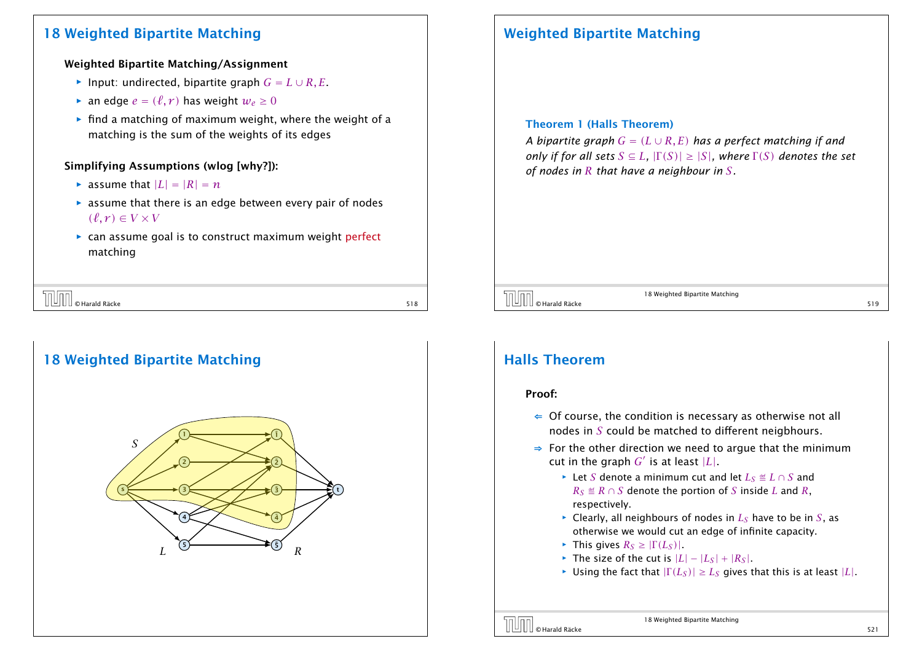## 18 Weighted Bipartite Matching

#### Weighted Bipartite Matching/Assignment

- *►* Input: undirected, bipartite graph  $G = L \cup R$ , *E*.
- $\blacktriangleright$  an edge  $e = (\ell, r)$  has weight  $w_e \geq 0$
- $\blacktriangleright$  find a matching of maximum weight, where the weight of a matching is the sum of the weights of its edges

### Simplifying Assumptions (wlog [why?]):

- $\blacktriangleright$  assume that  $|L| = |R| = n$
- $\triangleright$  assume that there is an edge between every pair of nodes  $(\ell, r) \in V \times V$
- **▶ can assume goal is to construct maximum weight perfect** matching

| -                                                            |  |
|--------------------------------------------------------------|--|
| ' Räcke<br>Harald<br>ш<br>$\overline{\phantom{0}}$<br>-<br>- |  |

# 18 Weighted Bipartite Matching s {<del>\_\_\_\_\_\_\_\_\_→</del>(3 }<del>\_\_\_\_\_\_\_\_/ \_/ \_\_ b</del>(3 }— <del>| \_\_\_\_\_\_ b</del>(t 1 2 3 4 5  $L \cong R$ 1˜  $\tilde{2}$  $\tilde{3}$ 4˜  $\tilde{\mathsf{s}}$ *S*

# Weighted Bipartite Matching

#### Theorem 1 (Halls Theorem)

*A bipartite graph*  $G = (L \cup R, E)$  *has a perfect matching if and only if for all sets*  $S \subseteq L$ *,*  $|\Gamma(S)| \geq |S|$ *, where*  $\Gamma(S)$  *denotes the set of nodes in R that have a neighbour in S.*

### $\overline{\text{O}}$   $\overline{\text{O}}$   $\text{Hardd}$  Räcke  $\overline{\text{S19}}$

18 Weighted Bipartite Matching

### Halls Theorem

#### Proof:

- $\Leftarrow$  Of course, the condition is necessary as otherwise not all nodes in *S* could be matched to different neigbhours.
- ⇒ For the other direction we need to argue that the minimum cut in the graph  $G'$  is at least  $|L|$ .
	- *<sup>ñ</sup>* Let *S* denote a minimum cut and let *L<sup>S</sup>* Ö *L* ∩ *S* and *R*<sup>*S*</sup>  $\triangleq$  *R* ∩ *S* denote the portion of *S* inside *L* and *R*, respectively.
	- $\triangleright$  Clearly, all neighbours of nodes in  $L_S$  have to be in *S*, as otherwise we would cut an edge of infinite capacity.
	- $\blacktriangleright$  This gives  $R_S \geq |\Gamma(L_S)|$ .
	- $\blacktriangleright$  The size of the cut is  $|L| |L_S| + |R_S|$ .
	- $\blacktriangleright$  Using the fact that  $|\Gamma(L_S)| \geq L_S$  gives that this is at least  $|L|$ .

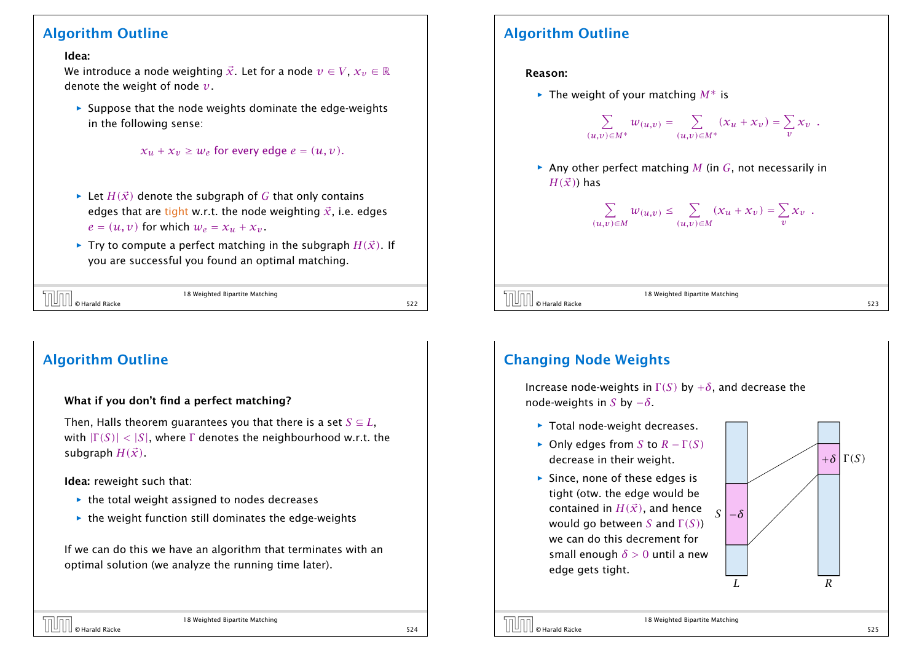### Algorithm Outline

### Idea:

We introduce a node weighting  $\vec{x}$ . Let for a node  $v \in V$ ,  $x_v \in \mathbb{R}$ denote the weight of node *v*.

**Follo** Suppose that the node weights dominate the edge-weights in the following sense:

```
x_u + x_v \geq w_e for every edge e = (u, v).
```
- $\blacktriangleright$  Let *H(* $\vec{x}$ *)* denote the subgraph of *G* that only contains edges that are tight w.r.t. the node weighting  $\vec{x}$ , i.e. edges  $e = (u, v)$  for which  $w_e = x_u + x_v$ .
- $\blacktriangleright$  Try to compute a perfect matching in the subgraph  $H(\vec{x})$ . If you are successful you found an optimal matching.

|                | 18 Weighted Bipartite Matching |  |
|----------------|--------------------------------|--|
| © Harald Räcke |                                |  |

# Algorithm Outline

### What if you don't find a perfect matching?

Then, Halls theorem quarantees you that there is a set  $S \subseteq L$ , with  $|\Gamma(S)| < |S|$ , where  $\Gamma$  denotes the neighbourhood w.r.t. the subgraph  $H(\vec{x})$ .

Idea: reweight such that:

- ▶ the total weight assigned to nodes decreases
- $\rightarrow$  the weight function still dominates the edge-weights

If we can do this we have an algorithm that terminates with an optimal solution (we analyze the running time later).

# Algorithm Outline

### Reason:

*ñ* The weight of your matching *M*∗ is

$$
\sum_{(u,v)\in M^*} w_{(u,v)} = \sum_{(u,v)\in M^*} (x_u + x_v) = \sum_v x_v.
$$

 $\triangleright$  Any other perfect matching *M* (in *G*, not necessarily in  $H(\vec{x})$  has

$$
\sum_{(u,v)\in M} w_{(u,v)} \leq \sum_{(u,v)\in M} (x_u + x_v) = \sum_v x_v \enspace .
$$

18 Weighted Bipartite Matching  $\overline{\text{O}}$   $\text{O}$   $\text{H}$   $\text{O}$   $\text{H}$   $\text{O}$   $\text{H}$   $\text{O}$   $\text{H}$   $\text{H}$   $\text{H}$   $\text{H}$   $\text{H}$   $\text{H}$   $\text{H}$   $\text{H}$   $\text{H}$   $\text{H}$   $\text{H}$   $\text{H}$   $\text{H}$   $\text{H}$   $\text{H}$   $\text{H}$   $\text{H}$   $\text{H}$   $\text{H}$   $\$ 

# Changing Node Weights

Increase node-weights in  $\Gamma(S)$  by  $+\delta$ , and decrease the node-weights in *S* by −*δ*.

- ▶ Total node-weight decreases.
- *►* Only edges from *S* to  $R \Gamma(S)$ decrease in their weight.
- **Fince, none of these edges is** tight (otw. the edge would be contained in  $H(\vec{x})$ , and hence would go between *S* and Γ *(S)*) we can do this decrement for small enough *δ >* 0 until a new edge gets tight.





18 Weighted Bipartite Matching © Harald Räcke 525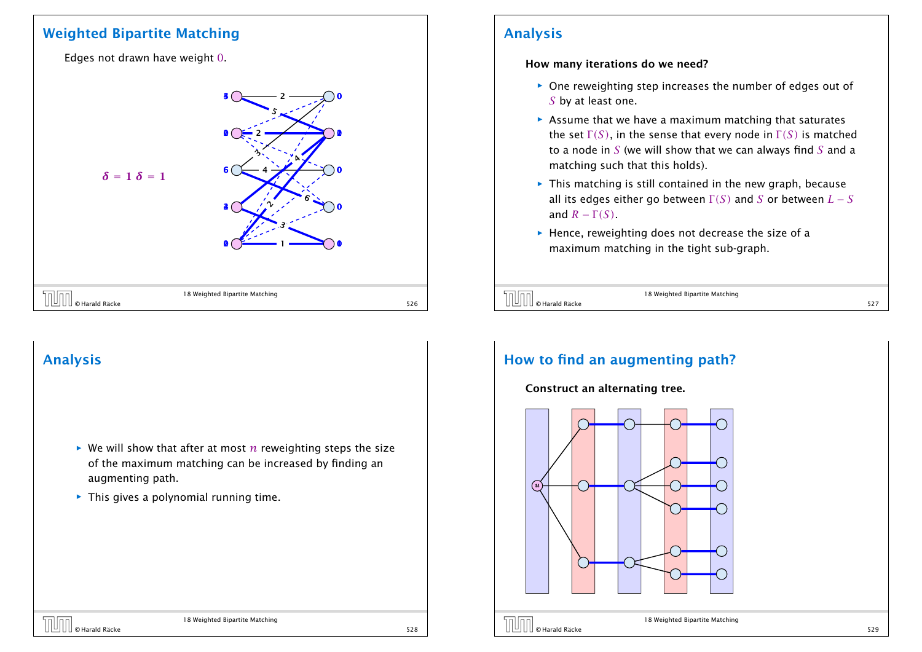### Weighted Bipartite Matching

Edges not drawn have weight 0.



# Analysis

- $\triangleright$  We will show that after at most *n* reweighting steps the size of the maximum matching can be increased by finding an augmenting path.
- **Fig.** This gives a polynomial running time.

# Analysis

How many iterations do we need?

- **One reweighting step increases the number of edges out of** *S* by at least one.
- **Assume that we have a maximum matching that saturates** the set  $\Gamma(S)$ , in the sense that every node in  $\Gamma(S)$  is matched to a node in *S* (we will show that we can always find *S* and a matching such that this holds).
- **Fig. This matching is still contained in the new graph, because** all its edges either go between  $\Gamma(S)$  and *S* or between  $L-S$ and  $R - \Gamma(S)$ .
- **FI** Hence, reweighting does not decrease the size of a maximum matching in the tight sub-graph.

| <b>TUTT</b> © Harald Räcke | 18 Weighted Bipartite Matching |  |
|----------------------------|--------------------------------|--|
|                            |                                |  |

# How to find an augmenting path?

#### Construct an alternating tree.





18 Weighted Bipartite Matching © Harald Räcke 529